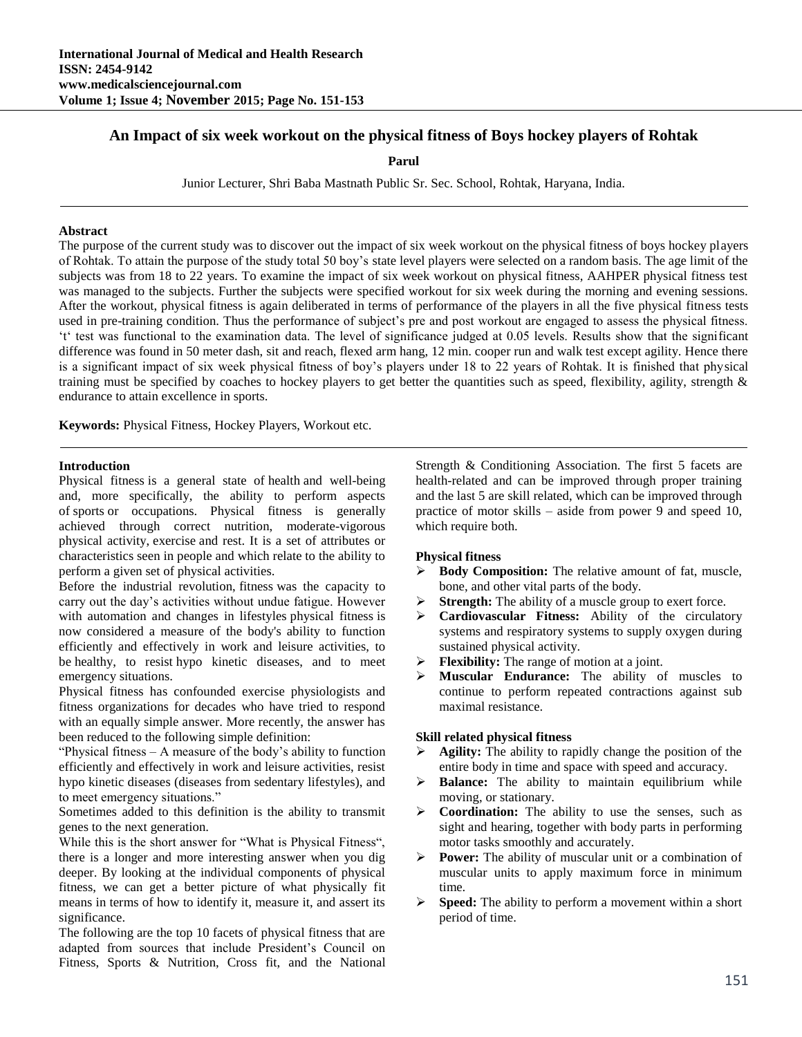# **An Impact of six week workout on the physical fitness of Boys hockey players of Rohtak**

**Parul**

Junior Lecturer, Shri Baba Mastnath Public Sr. Sec. School, Rohtak, Haryana, India.

#### **Abstract**

The purpose of the current study was to discover out the impact of six week workout on the physical fitness of boys hockey players of Rohtak. To attain the purpose of the study total 50 boy's state level players were selected on a random basis. The age limit of the subjects was from 18 to 22 years. To examine the impact of six week workout on physical fitness, AAHPER physical fitness test was managed to the subjects. Further the subjects were specified workout for six week during the morning and evening sessions. After the workout, physical fitness is again deliberated in terms of performance of the players in all the five physical fitness tests used in pre-training condition. Thus the performance of subject's pre and post workout are engaged to assess the physical fitness. 't' test was functional to the examination data. The level of significance judged at 0.05 levels. Results show that the significant difference was found in 50 meter dash, sit and reach, flexed arm hang, 12 min. cooper run and walk test except agility. Hence there is a significant impact of six week physical fitness of boy's players under 18 to 22 years of Rohtak. It is finished that physical training must be specified by coaches to hockey players to get better the quantities such as speed, flexibility, agility, strength & endurance to attain excellence in sports.

**Keywords:** Physical Fitness, Hockey Players, Workout etc.

#### **Introduction**

Physical fitness is a general state of health and well-being and, more specifically, the ability to perform aspects of sports or occupations. Physical fitness is generally achieved through correct nutrition, moderate-vigorous physical activity, exercise and rest. It is a set of attributes or characteristics seen in people and which relate to the ability to perform a given set of physical activities.

Before the industrial revolution, fitness was the capacity to carry out the day's activities without undue fatigue. However with automation and changes in lifestyles physical fitness is now considered a measure of the body's ability to function efficiently and effectively in work and leisure activities, to be healthy, to resist hypo kinetic diseases, and to meet emergency situations.

Physical fitness has confounded exercise physiologists and fitness organizations for decades who have tried to respond with an equally simple answer. More recently, the answer has been reduced to the following simple definition:

"Physical fitness – A measure of the body's ability to function efficiently and effectively in work and leisure activities, resist hypo kinetic diseases (diseases from sedentary lifestyles), and to meet emergency situations."

Sometimes added to this definition is the ability to transmit genes to the next generation.

While this is the short answer for "What is Physical Fitness", there is a longer and more interesting answer when you dig deeper. By looking at the individual components of physical fitness, we can get a better picture of what physically fit means in terms of how to identify it, measure it, and assert its significance.

The following are the top 10 facets of physical fitness that are adapted from sources that include President's Council on Fitness, Sports & Nutrition, Cross fit, and the National Strength & Conditioning Association. The first 5 facets are health-related and can be improved through proper training and the last 5 are skill related, which can be improved through practice of motor skills – aside from power 9 and speed 10, which require both.

#### **Physical fitness**

- **Body Composition:** The relative amount of fat, muscle, bone, and other vital parts of the body.
- **Strength:** The ability of a muscle group to exert force.
- **Cardiovascular Fitness:** Ability of the circulatory systems and respiratory systems to supply oxygen during sustained physical activity.
- **Flexibility:** The range of motion at a joint.
- **Muscular Endurance:** The ability of muscles to continue to perform repeated contractions against sub maximal resistance.

#### **Skill related physical fitness**

- **Agility:** The ability to rapidly change the position of the entire body in time and space with speed and accuracy.
- **Balance:** The ability to maintain equilibrium while moving, or stationary.
- **EXECO** Coordination: The ability to use the senses, such as sight and hearing, together with body parts in performing motor tasks smoothly and accurately.
- **Power:** The ability of muscular unit or a combination of muscular units to apply maximum force in minimum time.
- **Speed:** The ability to perform a movement within a short period of time.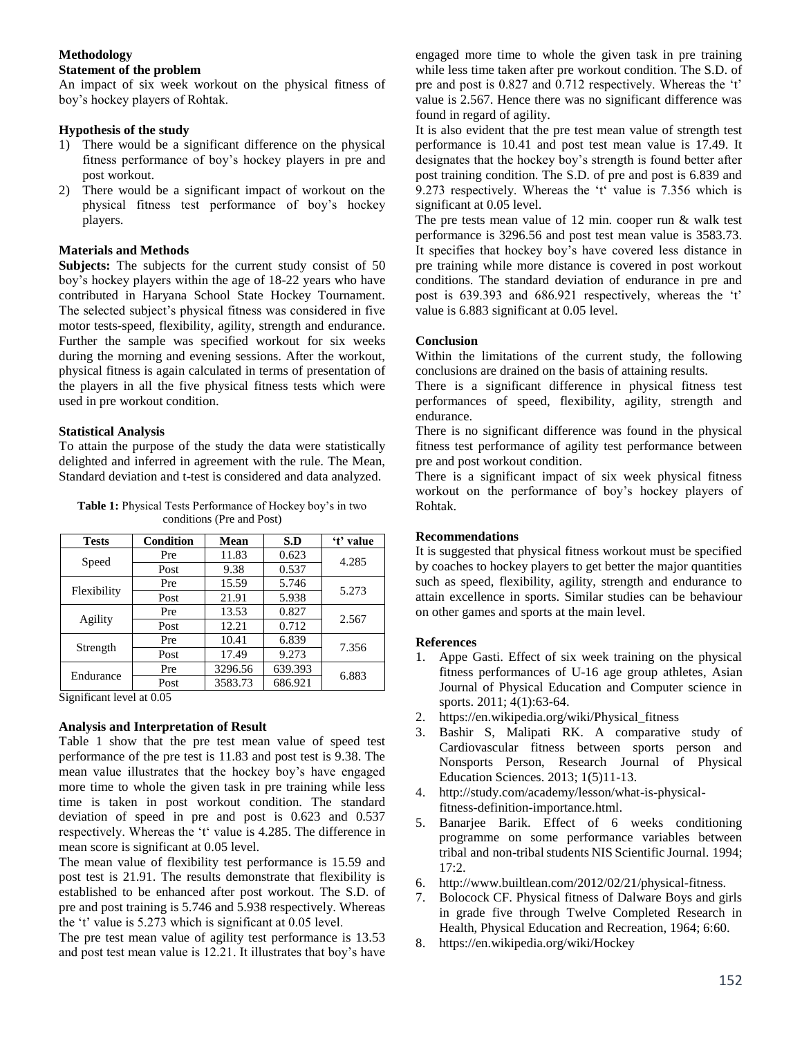### **Methodology**

### **Statement of the problem**

An impact of six week workout on the physical fitness of boy's hockey players of Rohtak.

### **Hypothesis of the study**

- 1) There would be a significant difference on the physical fitness performance of boy's hockey players in pre and post workout.
- 2) There would be a significant impact of workout on the physical fitness test performance of boy's hockey players.

# **Materials and Methods**

Subjects: The subjects for the current study consist of 50 boy's hockey players within the age of 18-22 years who have contributed in Haryana School State Hockey Tournament. The selected subject's physical fitness was considered in five motor tests-speed, flexibility, agility, strength and endurance. Further the sample was specified workout for six weeks during the morning and evening sessions. After the workout, physical fitness is again calculated in terms of presentation of the players in all the five physical fitness tests which were used in pre workout condition.

# **Statistical Analysis**

To attain the purpose of the study the data were statistically delighted and inferred in agreement with the rule. The Mean, Standard deviation and t-test is considered and data analyzed.

**Table 1:** Physical Tests Performance of Hockey boy's in two conditions (Pre and Post)

| <b>Tests</b> | <b>Condition</b> | Mean    | S.D     | 't' value |
|--------------|------------------|---------|---------|-----------|
| Speed        | Pre              | 11.83   | 0.623   | 4.285     |
|              | Post             | 9.38    | 0.537   |           |
| Flexibility  | Pre              | 15.59   | 5.746   | 5.273     |
|              | Post             | 21.91   | 5.938   |           |
| Agility      | Pre              | 13.53   | 0.827   | 2.567     |
|              | Post             | 12.21   | 0.712   |           |
| Strength     | Pre              | 10.41   | 6.839   | 7.356     |
|              | Post             | 17.49   | 9.273   |           |
| Endurance    | Pre              | 3296.56 | 639.393 | 6.883     |
|              | Post             | 3583.73 | 686.921 |           |

Significant level at 0.05

### **Analysis and Interpretation of Result**

Table 1 show that the pre test mean value of speed test performance of the pre test is 11.83 and post test is 9.38. The mean value illustrates that the hockey boy's have engaged more time to whole the given task in pre training while less time is taken in post workout condition. The standard deviation of speed in pre and post is 0.623 and 0.537 respectively. Whereas the 't' value is 4.285. The difference in mean score is significant at 0.05 level.

The mean value of flexibility test performance is 15.59 and post test is 21.91. The results demonstrate that flexibility is established to be enhanced after post workout. The S.D. of pre and post training is 5.746 and 5.938 respectively. Whereas the 't' value is 5.273 which is significant at 0.05 level.

The pre test mean value of agility test performance is 13.53 and post test mean value is 12.21. It illustrates that boy's have engaged more time to whole the given task in pre training while less time taken after pre workout condition. The S.D. of pre and post is 0.827 and 0.712 respectively. Whereas the 't' value is 2.567. Hence there was no significant difference was found in regard of agility.

It is also evident that the pre test mean value of strength test performance is 10.41 and post test mean value is 17.49. It designates that the hockey boy's strength is found better after post training condition. The S.D. of pre and post is 6.839 and 9.273 respectively. Whereas the 't' value is 7.356 which is significant at 0.05 level.

The pre tests mean value of 12 min. cooper run & walk test performance is 3296.56 and post test mean value is 3583.73. It specifies that hockey boy's have covered less distance in pre training while more distance is covered in post workout conditions. The standard deviation of endurance in pre and post is 639.393 and 686.921 respectively, whereas the 't' value is 6.883 significant at 0.05 level.

# **Conclusion**

Within the limitations of the current study, the following conclusions are drained on the basis of attaining results.

There is a significant difference in physical fitness test performances of speed, flexibility, agility, strength and endurance.

There is no significant difference was found in the physical fitness test performance of agility test performance between pre and post workout condition.

There is a significant impact of six week physical fitness workout on the performance of boy's hockey players of Rohtak.

# **Recommendations**

It is suggested that physical fitness workout must be specified by coaches to hockey players to get better the major quantities such as speed, flexibility, agility, strength and endurance to attain excellence in sports. Similar studies can be behaviour on other games and sports at the main level.

### **References**

- 1. Appe Gasti. Effect of six week training on the physical fitness performances of U-16 age group athletes, Asian Journal of Physical Education and Computer science in sports. 2011; 4(1):63-64.
- 2. https://en.wikipedia.org/wiki/Physical\_fitness
- 3. Bashir S, Malipati RK. A comparative study of Cardiovascular fitness between sports person and Nonsports Person, Research Journal of Physical Education Sciences. 2013; 1(5)11-13.
- 4. http://study.com/academy/lesson/what-is-physicalfitness-definition-importance.html.
- 5. Banarjee Barik. Effect of 6 weeks conditioning programme on some performance variables between tribal and non-tribal students NIS Scientific Journal. 1994;  $17:2.$
- 6. http://www.builtlean.com/2012/02/21/physical-fitness.
- 7. Bolocock CF. Physical fitness of Dalware Boys and girls in grade five through Twelve Completed Research in Health, Physical Education and Recreation, 1964; 6:60.
- 8. https://en.wikipedia.org/wiki/Hockey